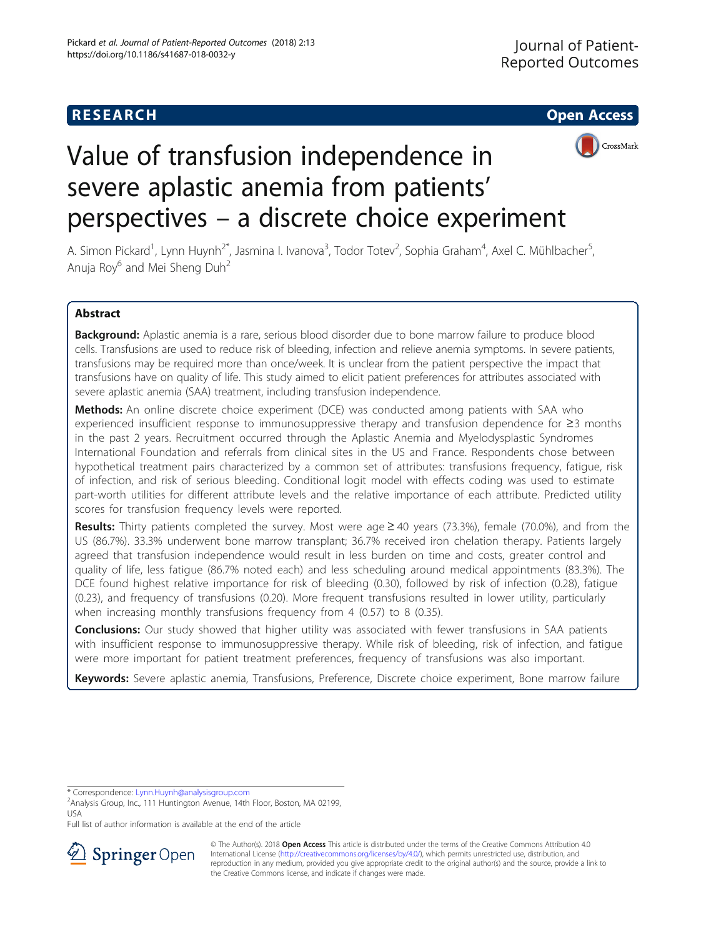# **RESEARCH CHEAR CHEAR CHEAR CHEAR CHEAR CHEAR CHEAR CHEAR CHEAR CHEAR CHEAR CHEAR CHEAR CHEAR CHEAR CHEAR CHEAR**



# Value of transfusion independence in severe aplastic anemia from patients' perspectives – a discrete choice experiment

A. Simon Pickard<sup>1</sup>, Lynn Huynh<sup>2\*</sup>, Jasmina I. Ivanova<sup>3</sup>, Todor Totev<sup>2</sup>, Sophia Graham<sup>4</sup>, Axel C. Mühlbacher<sup>5</sup> , Anuja Roy<sup>6</sup> and Mei Sheng Duh<sup>2</sup>

## Abstract

Background: Aplastic anemia is a rare, serious blood disorder due to bone marrow failure to produce blood cells. Transfusions are used to reduce risk of bleeding, infection and relieve anemia symptoms. In severe patients, transfusions may be required more than once/week. It is unclear from the patient perspective the impact that transfusions have on quality of life. This study aimed to elicit patient preferences for attributes associated with severe aplastic anemia (SAA) treatment, including transfusion independence.

**Methods:** An online discrete choice experiment (DCE) was conducted among patients with SAA who experienced insufficient response to immunosuppressive therapy and transfusion dependence for ≥3 months in the past 2 years. Recruitment occurred through the Aplastic Anemia and Myelodysplastic Syndromes International Foundation and referrals from clinical sites in the US and France. Respondents chose between hypothetical treatment pairs characterized by a common set of attributes: transfusions frequency, fatigue, risk of infection, and risk of serious bleeding. Conditional logit model with effects coding was used to estimate part-worth utilities for different attribute levels and the relative importance of each attribute. Predicted utility scores for transfusion frequency levels were reported.

Results: Thirty patients completed the survey. Most were age  $\geq$  40 years (73.3%), female (70.0%), and from the US (86.7%). 33.3% underwent bone marrow transplant; 36.7% received iron chelation therapy. Patients largely agreed that transfusion independence would result in less burden on time and costs, greater control and quality of life, less fatigue (86.7% noted each) and less scheduling around medical appointments (83.3%). The DCE found highest relative importance for risk of bleeding (0.30), followed by risk of infection (0.28), fatigue (0.23), and frequency of transfusions (0.20). More frequent transfusions resulted in lower utility, particularly when increasing monthly transfusions frequency from 4 (0.57) to 8 (0.35).

**Conclusions:** Our study showed that higher utility was associated with fewer transfusions in SAA patients with insufficient response to immunosuppressive therapy. While risk of bleeding, risk of infection, and fatigue were more important for patient treatment preferences, frequency of transfusions was also important.

Keywords: Severe aplastic anemia, Transfusions, Preference, Discrete choice experiment, Bone marrow failure

\* Correspondence: [Lynn.Huynh@analysisgroup.com](mailto:Lynn.Huynh@analysisgroup.com) <sup>2</sup>

Full list of author information is available at the end of the article



© The Author(s). 2018 Open Access This article is distributed under the terms of the Creative Commons Attribution 4.0 International License ([http://creativecommons.org/licenses/by/4.0/\)](http://creativecommons.org/licenses/by/4.0/), which permits unrestricted use, distribution, and reproduction in any medium, provided you give appropriate credit to the original author(s) and the source, provide a link to the Creative Commons license, and indicate if changes were made.

<sup>&</sup>lt;sup>2</sup> Analysis Group, Inc., 111 Huntington Avenue, 14th Floor, Boston, MA 02199, USA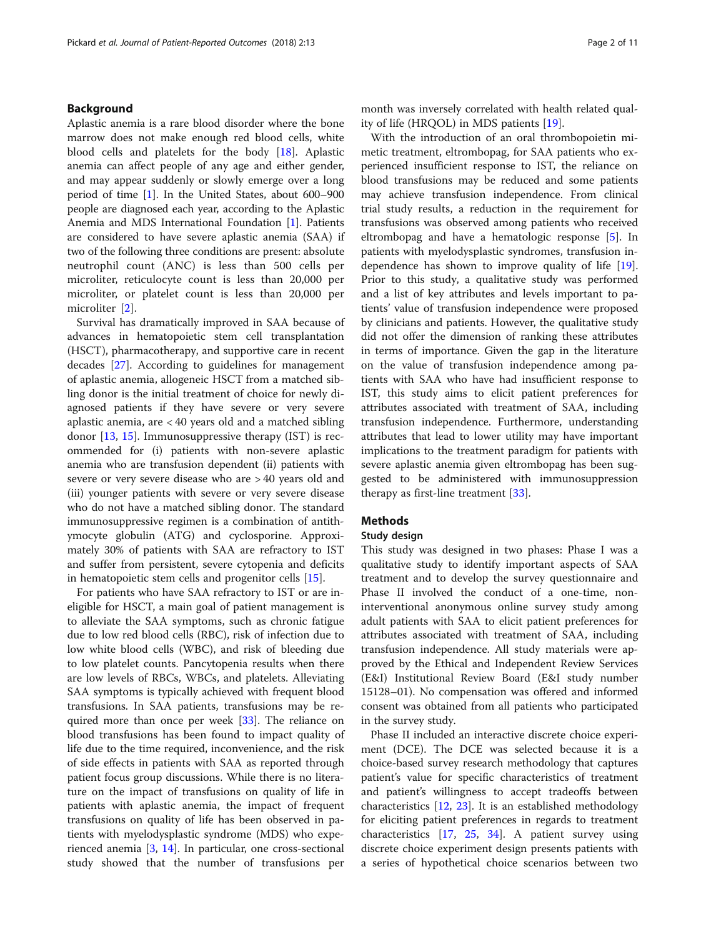### Background

Aplastic anemia is a rare blood disorder where the bone marrow does not make enough red blood cells, white blood cells and platelets for the body [\[18](#page-10-0)]. Aplastic anemia can affect people of any age and either gender, and may appear suddenly or slowly emerge over a long period of time [[1\]](#page-9-0). In the United States, about 600–900 people are diagnosed each year, according to the Aplastic Anemia and MDS International Foundation [[1\]](#page-9-0). Patients are considered to have severe aplastic anemia (SAA) if two of the following three conditions are present: absolute neutrophil count (ANC) is less than 500 cells per microliter, reticulocyte count is less than 20,000 per microliter, or platelet count is less than 20,000 per microliter [[2](#page-9-0)].

Survival has dramatically improved in SAA because of advances in hematopoietic stem cell transplantation (HSCT), pharmacotherapy, and supportive care in recent decades [\[27](#page-10-0)]. According to guidelines for management of aplastic anemia, allogeneic HSCT from a matched sibling donor is the initial treatment of choice for newly diagnosed patients if they have severe or very severe aplastic anemia, are < 40 years old and a matched sibling donor [[13](#page-9-0), [15\]](#page-9-0). Immunosuppressive therapy (IST) is recommended for (i) patients with non-severe aplastic anemia who are transfusion dependent (ii) patients with severe or very severe disease who are > 40 years old and (iii) younger patients with severe or very severe disease who do not have a matched sibling donor. The standard immunosuppressive regimen is a combination of antithymocyte globulin (ATG) and cyclosporine. Approximately 30% of patients with SAA are refractory to IST and suffer from persistent, severe cytopenia and deficits in hematopoietic stem cells and progenitor cells [\[15](#page-9-0)].

For patients who have SAA refractory to IST or are ineligible for HSCT, a main goal of patient management is to alleviate the SAA symptoms, such as chronic fatigue due to low red blood cells (RBC), risk of infection due to low white blood cells (WBC), and risk of bleeding due to low platelet counts. Pancytopenia results when there are low levels of RBCs, WBCs, and platelets. Alleviating SAA symptoms is typically achieved with frequent blood transfusions. In SAA patients, transfusions may be required more than once per week [\[33](#page-10-0)]. The reliance on blood transfusions has been found to impact quality of life due to the time required, inconvenience, and the risk of side effects in patients with SAA as reported through patient focus group discussions. While there is no literature on the impact of transfusions on quality of life in patients with aplastic anemia, the impact of frequent transfusions on quality of life has been observed in patients with myelodysplastic syndrome (MDS) who experienced anemia [\[3](#page-9-0), [14\]](#page-9-0). In particular, one cross-sectional study showed that the number of transfusions per month was inversely correlated with health related quality of life (HRQOL) in MDS patients [\[19](#page-10-0)].

With the introduction of an oral thrombopoietin mimetic treatment, eltrombopag, for SAA patients who experienced insufficient response to IST, the reliance on blood transfusions may be reduced and some patients may achieve transfusion independence. From clinical trial study results, a reduction in the requirement for transfusions was observed among patients who received eltrombopag and have a hematologic response [\[5](#page-9-0)]. In patients with myelodysplastic syndromes, transfusion independence has shown to improve quality of life [\[19](#page-10-0)]. Prior to this study, a qualitative study was performed and a list of key attributes and levels important to patients' value of transfusion independence were proposed by clinicians and patients. However, the qualitative study did not offer the dimension of ranking these attributes in terms of importance. Given the gap in the literature on the value of transfusion independence among patients with SAA who have had insufficient response to IST, this study aims to elicit patient preferences for attributes associated with treatment of SAA, including transfusion independence. Furthermore, understanding attributes that lead to lower utility may have important implications to the treatment paradigm for patients with severe aplastic anemia given eltrombopag has been suggested to be administered with immunosuppression therapy as first-line treatment [[33\]](#page-10-0).

#### Methods

#### Study design

This study was designed in two phases: Phase I was a qualitative study to identify important aspects of SAA treatment and to develop the survey questionnaire and Phase II involved the conduct of a one-time, noninterventional anonymous online survey study among adult patients with SAA to elicit patient preferences for attributes associated with treatment of SAA, including transfusion independence. All study materials were approved by the Ethical and Independent Review Services (E&I) Institutional Review Board (E&I study number 15128–01). No compensation was offered and informed consent was obtained from all patients who participated in the survey study.

Phase II included an interactive discrete choice experiment (DCE). The DCE was selected because it is a choice-based survey research methodology that captures patient's value for specific characteristics of treatment and patient's willingness to accept tradeoffs between characteristics [[12](#page-9-0), [23\]](#page-10-0). It is an established methodology for eliciting patient preferences in regards to treatment characteristics [\[17,](#page-10-0) [25](#page-10-0), [34](#page-10-0)]. A patient survey using discrete choice experiment design presents patients with a series of hypothetical choice scenarios between two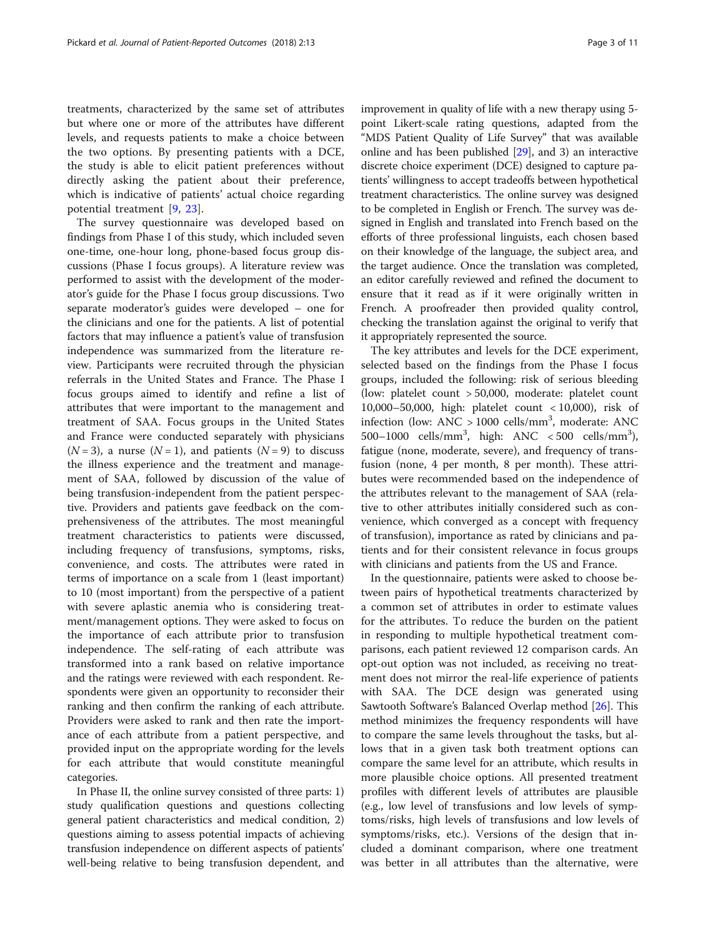treatments, characterized by the same set of attributes but where one or more of the attributes have different levels, and requests patients to make a choice between the two options. By presenting patients with a DCE, the study is able to elicit patient preferences without directly asking the patient about their preference, which is indicative of patients' actual choice regarding potential treatment [\[9](#page-9-0), [23\]](#page-10-0).

The survey questionnaire was developed based on findings from Phase I of this study, which included seven one-time, one-hour long, phone-based focus group discussions (Phase I focus groups). A literature review was performed to assist with the development of the moderator's guide for the Phase I focus group discussions. Two separate moderator's guides were developed – one for the clinicians and one for the patients. A list of potential factors that may influence a patient's value of transfusion independence was summarized from the literature review. Participants were recruited through the physician referrals in the United States and France. The Phase I focus groups aimed to identify and refine a list of attributes that were important to the management and treatment of SAA. Focus groups in the United States and France were conducted separately with physicians  $(N = 3)$ , a nurse  $(N = 1)$ , and patients  $(N = 9)$  to discuss the illness experience and the treatment and management of SAA, followed by discussion of the value of being transfusion-independent from the patient perspective. Providers and patients gave feedback on the comprehensiveness of the attributes. The most meaningful treatment characteristics to patients were discussed, including frequency of transfusions, symptoms, risks, convenience, and costs. The attributes were rated in terms of importance on a scale from 1 (least important) to 10 (most important) from the perspective of a patient with severe aplastic anemia who is considering treatment/management options. They were asked to focus on the importance of each attribute prior to transfusion independence. The self-rating of each attribute was transformed into a rank based on relative importance and the ratings were reviewed with each respondent. Respondents were given an opportunity to reconsider their ranking and then confirm the ranking of each attribute. Providers were asked to rank and then rate the importance of each attribute from a patient perspective, and provided input on the appropriate wording for the levels for each attribute that would constitute meaningful categories.

In Phase II, the online survey consisted of three parts: 1) study qualification questions and questions collecting general patient characteristics and medical condition, 2) questions aiming to assess potential impacts of achieving transfusion independence on different aspects of patients' well-being relative to being transfusion dependent, and

improvement in quality of life with a new therapy using 5 point Likert-scale rating questions, adapted from the "MDS Patient Quality of Life Survey" that was available online and has been published [[29](#page-10-0)], and 3) an interactive discrete choice experiment (DCE) designed to capture patients' willingness to accept tradeoffs between hypothetical treatment characteristics. The online survey was designed to be completed in English or French. The survey was designed in English and translated into French based on the efforts of three professional linguists, each chosen based on their knowledge of the language, the subject area, and the target audience. Once the translation was completed, an editor carefully reviewed and refined the document to ensure that it read as if it were originally written in French. A proofreader then provided quality control, checking the translation against the original to verify that it appropriately represented the source.

The key attributes and levels for the DCE experiment, selected based on the findings from the Phase I focus groups, included the following: risk of serious bleeding (low: platelet count > 50,000, moderate: platelet count 10,000–50,000, high: platelet count < 10,000), risk of infection (low:  $ANC > 1000$  cells/mm<sup>3</sup>, moderate: ANC 500-1000 cells/mm<sup>3</sup>, high: ANC <500 cells/mm<sup>3</sup>), fatigue (none, moderate, severe), and frequency of transfusion (none, 4 per month, 8 per month). These attributes were recommended based on the independence of the attributes relevant to the management of SAA (relative to other attributes initially considered such as convenience, which converged as a concept with frequency of transfusion), importance as rated by clinicians and patients and for their consistent relevance in focus groups with clinicians and patients from the US and France.

In the questionnaire, patients were asked to choose between pairs of hypothetical treatments characterized by a common set of attributes in order to estimate values for the attributes. To reduce the burden on the patient in responding to multiple hypothetical treatment comparisons, each patient reviewed 12 comparison cards. An opt-out option was not included, as receiving no treatment does not mirror the real-life experience of patients with SAA. The DCE design was generated using Sawtooth Software's Balanced Overlap method [\[26](#page-10-0)]. This method minimizes the frequency respondents will have to compare the same levels throughout the tasks, but allows that in a given task both treatment options can compare the same level for an attribute, which results in more plausible choice options. All presented treatment profiles with different levels of attributes are plausible (e.g., low level of transfusions and low levels of symptoms/risks, high levels of transfusions and low levels of symptoms/risks, etc.). Versions of the design that included a dominant comparison, where one treatment was better in all attributes than the alternative, were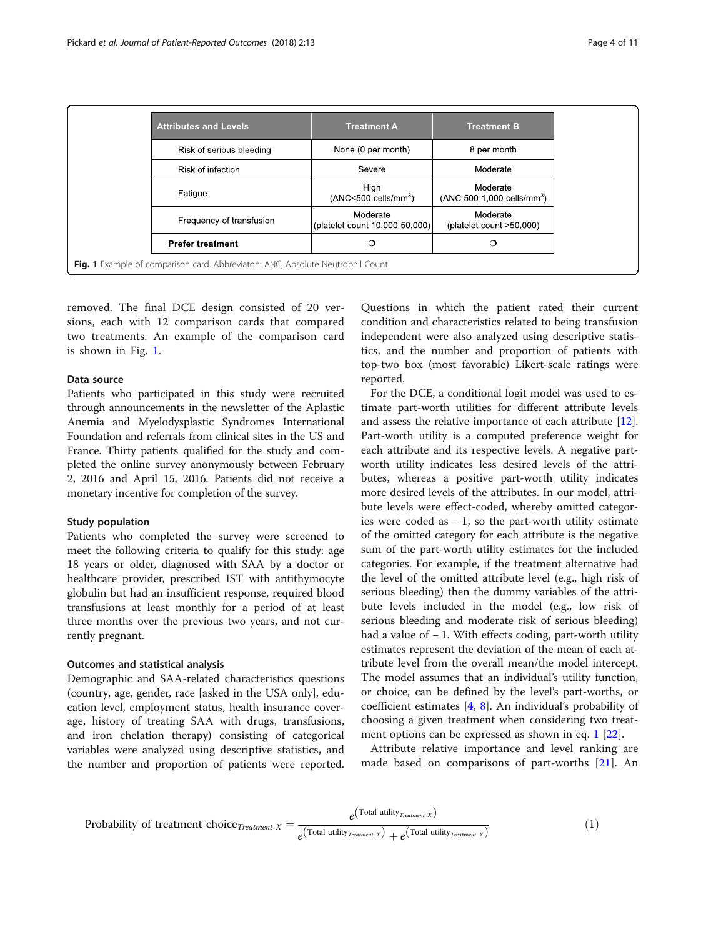| <b>Attributes and Levels</b>                                                   | <b>Treatment A</b>                           | <b>Treatment B</b>                                 |  |
|--------------------------------------------------------------------------------|----------------------------------------------|----------------------------------------------------|--|
| Risk of serious bleeding                                                       | None (0 per month)                           | 8 per month                                        |  |
| Risk of infection                                                              | Severe                                       | Moderate                                           |  |
| Fatigue                                                                        | High<br>$(ANC500$ cells/mm <sup>3</sup> )    | Moderate<br>(ANC 500-1,000 cells/mm <sup>3</sup> ) |  |
| Frequency of transfusion                                                       | Moderate<br>  (platelet count 10,000-50,000) | Moderate<br>(platelet count $>50,000$ )            |  |
| <b>Prefer treatment</b>                                                        | ∩                                            | ◯                                                  |  |
| Fig. 1 Example of comparison card. Abbreviaton: ANC, Absolute Neutrophil Count |                                              |                                                    |  |

removed. The final DCE design consisted of 20 versions, each with 12 comparison cards that compared two treatments. An example of the comparison card is shown in Fig. 1.

#### Data source

Patients who participated in this study were recruited through announcements in the newsletter of the Aplastic Anemia and Myelodysplastic Syndromes International Foundation and referrals from clinical sites in the US and France. Thirty patients qualified for the study and completed the online survey anonymously between February 2, 2016 and April 15, 2016. Patients did not receive a monetary incentive for completion of the survey.

#### Study population

Patients who completed the survey were screened to meet the following criteria to qualify for this study: age 18 years or older, diagnosed with SAA by a doctor or healthcare provider, prescribed IST with antithymocyte globulin but had an insufficient response, required blood transfusions at least monthly for a period of at least three months over the previous two years, and not currently pregnant.

#### Outcomes and statistical analysis

Demographic and SAA-related characteristics questions (country, age, gender, race [asked in the USA only], education level, employment status, health insurance coverage, history of treating SAA with drugs, transfusions, and iron chelation therapy) consisting of categorical variables were analyzed using descriptive statistics, and the number and proportion of patients were reported.

Questions in which the patient rated their current condition and characteristics related to being transfusion independent were also analyzed using descriptive statistics, and the number and proportion of patients with top-two box (most favorable) Likert-scale ratings were reported.

For the DCE, a conditional logit model was used to estimate part-worth utilities for different attribute levels and assess the relative importance of each attribute [\[12](#page-9-0)]. Part-worth utility is a computed preference weight for each attribute and its respective levels. A negative partworth utility indicates less desired levels of the attributes, whereas a positive part-worth utility indicates more desired levels of the attributes. In our model, attribute levels were effect-coded, whereby omitted categories were coded as − 1, so the part-worth utility estimate of the omitted category for each attribute is the negative sum of the part-worth utility estimates for the included categories. For example, if the treatment alternative had the level of the omitted attribute level (e.g., high risk of serious bleeding) then the dummy variables of the attribute levels included in the model (e.g., low risk of serious bleeding and moderate risk of serious bleeding) had a value of − 1. With effects coding, part-worth utility estimates represent the deviation of the mean of each attribute level from the overall mean/the model intercept. The model assumes that an individual's utility function, or choice, can be defined by the level's part-worths, or coefficient estimates [[4,](#page-9-0) [8](#page-9-0)]. An individual's probability of choosing a given treatment when considering two treatment options can be expressed as shown in eq. 1 [[22](#page-10-0)].

Attribute relative importance and level ranking are made based on comparisons of part-worths [\[21](#page-10-0)]. An

Probability of treatment choice 
$$
x = \frac{e^{(\text{Total utility}_{Treatment} x)}}{e^{(\text{Total utility}_{Treatment} x)} + e^{(\text{Total utility}_{Treatment} y)}}
$$
(1)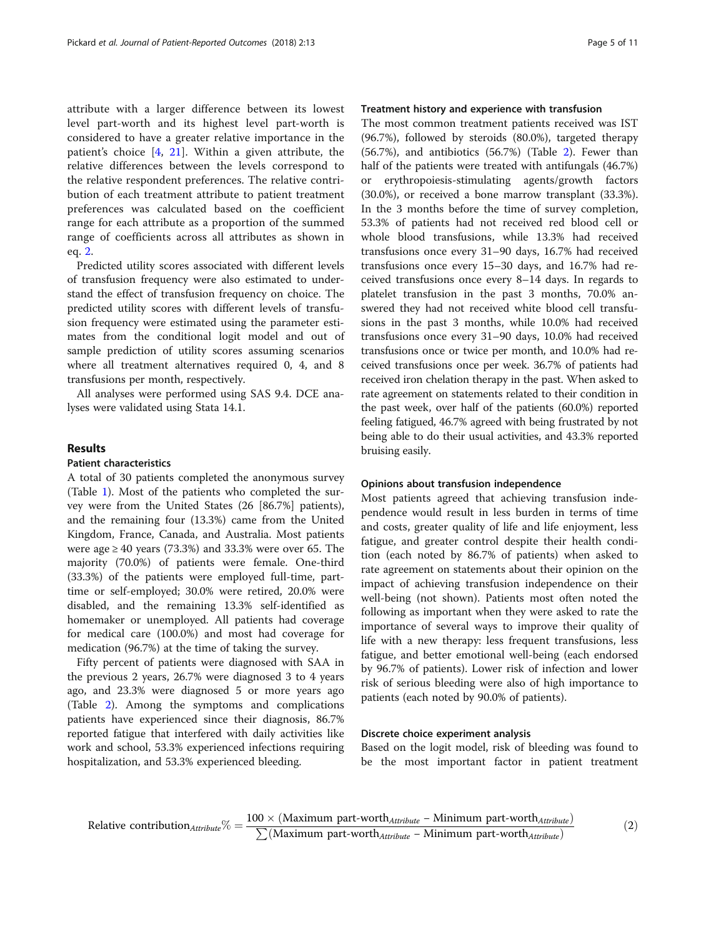attribute with a larger difference between its lowest level part-worth and its highest level part-worth is considered to have a greater relative importance in the patient's choice [[4,](#page-9-0) [21](#page-10-0)]. Within a given attribute, the relative differences between the levels correspond to the relative respondent preferences. The relative contribution of each treatment attribute to patient treatment preferences was calculated based on the coefficient range for each attribute as a proportion of the summed range of coefficients across all attributes as shown in eq. 2.

Predicted utility scores associated with different levels of transfusion frequency were also estimated to understand the effect of transfusion frequency on choice. The predicted utility scores with different levels of transfusion frequency were estimated using the parameter estimates from the conditional logit model and out of sample prediction of utility scores assuming scenarios where all treatment alternatives required 0, 4, and 8 transfusions per month, respectively.

All analyses were performed using SAS 9.4. DCE analyses were validated using Stata 14.1.

#### Results

#### Patient characteristics

A total of 30 patients completed the anonymous survey (Table [1\)](#page-5-0). Most of the patients who completed the survey were from the United States (26 [86.7%] patients), and the remaining four (13.3%) came from the United Kingdom, France, Canada, and Australia. Most patients were age  $\geq$  40 years (73.3%) and 33.3% were over 65. The majority (70.0%) of patients were female. One-third (33.3%) of the patients were employed full-time, parttime or self-employed; 30.0% were retired, 20.0% were disabled, and the remaining 13.3% self-identified as homemaker or unemployed. All patients had coverage for medical care (100.0%) and most had coverage for medication (96.7%) at the time of taking the survey.

Fifty percent of patients were diagnosed with SAA in the previous 2 years, 26.7% were diagnosed 3 to 4 years ago, and 23.3% were diagnosed 5 or more years ago (Table [2\)](#page-5-0). Among the symptoms and complications patients have experienced since their diagnosis, 86.7% reported fatigue that interfered with daily activities like work and school, 53.3% experienced infections requiring hospitalization, and 53.3% experienced bleeding.

#### Treatment history and experience with transfusion

The most common treatment patients received was IST (96.7%), followed by steroids (80.0%), targeted therapy (56.7%), and antibiotics (56.7%) (Table [2](#page-5-0)). Fewer than half of the patients were treated with antifungals (46.7%) or erythropoiesis-stimulating agents/growth factors (30.0%), or received a bone marrow transplant (33.3%). In the 3 months before the time of survey completion, 53.3% of patients had not received red blood cell or whole blood transfusions, while 13.3% had received transfusions once every 31–90 days, 16.7% had received transfusions once every 15–30 days, and 16.7% had received transfusions once every 8–14 days. In regards to platelet transfusion in the past 3 months, 70.0% answered they had not received white blood cell transfusions in the past 3 months, while 10.0% had received transfusions once every 31–90 days, 10.0% had received transfusions once or twice per month, and 10.0% had received transfusions once per week. 36.7% of patients had received iron chelation therapy in the past. When asked to rate agreement on statements related to their condition in the past week, over half of the patients (60.0%) reported feeling fatigued, 46.7% agreed with being frustrated by not being able to do their usual activities, and 43.3% reported bruising easily.

#### Opinions about transfusion independence

Most patients agreed that achieving transfusion independence would result in less burden in terms of time and costs, greater quality of life and life enjoyment, less fatigue, and greater control despite their health condition (each noted by 86.7% of patients) when asked to rate agreement on statements about their opinion on the impact of achieving transfusion independence on their well-being (not shown). Patients most often noted the following as important when they were asked to rate the importance of several ways to improve their quality of life with a new therapy: less frequent transfusions, less fatigue, and better emotional well-being (each endorsed by 96.7% of patients). Lower risk of infection and lower risk of serious bleeding were also of high importance to patients (each noted by 90.0% of patients).

#### Discrete choice experiment analysis

Based on the logit model, risk of bleeding was found to be the most important factor in patient treatment

Relative contribution<sub>Attribute</sub>
$$
\% = \frac{100 \times (Maximum partworthAttribute - Minimum partworthAttribute)}{\sum (Maximum partworthAttribute - Minimum partworthAttribute)} (2)
$$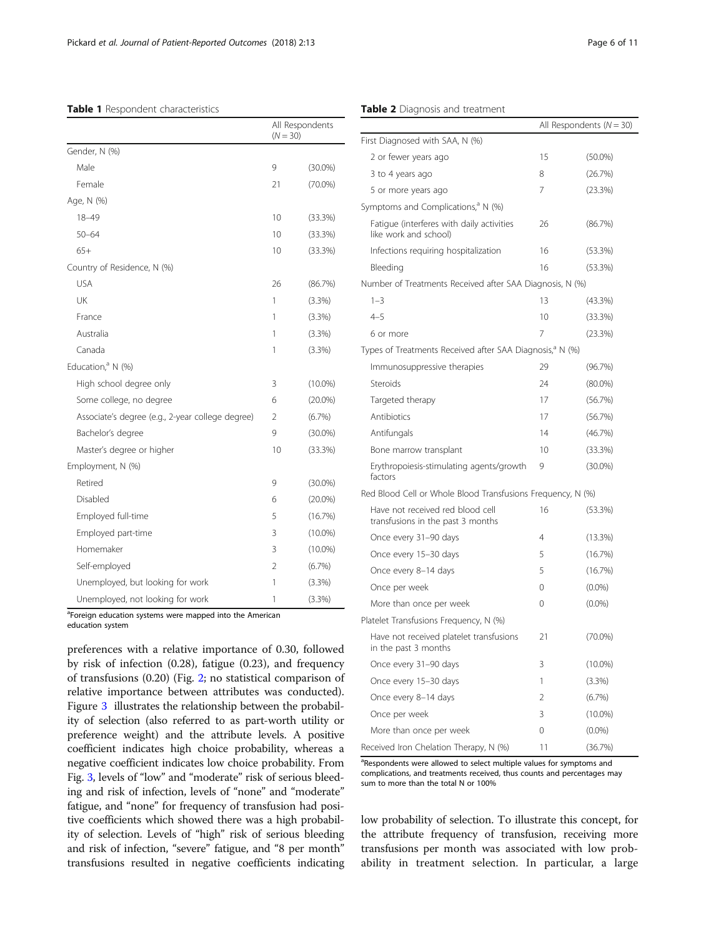#### <span id="page-5-0"></span>Table 1 Respondent characteristics

|                                                  |                | All Respondents<br>$(N = 30)$ |  |
|--------------------------------------------------|----------------|-------------------------------|--|
| Gender, N (%)                                    |                |                               |  |
| Male                                             | 9              | $(30.0\%)$                    |  |
| Female                                           | 21             | $(70.0\%)$                    |  |
| Age, N (%)                                       |                |                               |  |
| $18 - 49$                                        | 10             | (33.3%)                       |  |
| $50 - 64$                                        | 10             | (33.3%)                       |  |
| $65+$                                            | 10             | (33.3%)                       |  |
| Country of Residence, N (%)                      |                |                               |  |
| <b>USA</b>                                       | 26             | (86.7%)                       |  |
| UK                                               | 1              | (3.3%)                        |  |
| France                                           | 1              | (3.3%)                        |  |
| Australia                                        | 1              | (3.3%)                        |  |
| Canada                                           | 1              | (3.3%)                        |  |
| Education. <sup>ª</sup> N (%)                    |                |                               |  |
| High school degree only                          | 3              | $(10.0\%)$                    |  |
| Some college, no degree                          | 6              | $(20.0\%)$                    |  |
| Associate's degree (e.g., 2-year college degree) | 2              | (6.7%)                        |  |
| Bachelor's degree                                | 9              | $(30.0\%)$                    |  |
| Master's degree or higher                        | 10             | (33.3%)                       |  |
| Employment, N (%)                                |                |                               |  |
| Retired                                          | 9              | $(30.0\%)$                    |  |
| Disabled                                         | 6              | $(20.0\%)$                    |  |
| Employed full-time                               | 5              | (16.7%)                       |  |
| Employed part-time                               | 3              | $(10.0\%)$                    |  |
| Homemaker                                        | 3              | $(10.0\%)$                    |  |
| Self-employed                                    | $\overline{2}$ | (6.7%)                        |  |
| Unemployed, but looking for work                 | 1              | (3.3%)                        |  |
| Unemployed, not looking for work                 | 1              | (3.3%)                        |  |

<sup>a</sup>Foreign education systems were mapped into the American education system

preferences with a relative importance of 0.30, followed by risk of infection (0.28), fatigue (0.23), and frequency of transfusions (0.20) (Fig. [2;](#page-6-0) no statistical comparison of relative importance between attributes was conducted). Figure [3](#page-6-0) illustrates the relationship between the probability of selection (also referred to as part-worth utility or preference weight) and the attribute levels. A positive coefficient indicates high choice probability, whereas a negative coefficient indicates low choice probability. From Fig. [3](#page-6-0), levels of "low" and "moderate" risk of serious bleeding and risk of infection, levels of "none" and "moderate" fatigue, and "none" for frequency of transfusion had positive coefficients which showed there was a high probability of selection. Levels of "high" risk of serious bleeding and risk of infection, "severe" fatigue, and "8 per month" transfusions resulted in negative coefficients indicating

# All Respondents  $(N = 30)$ First Diagnosed with SAA, N (%) 2 or fewer years ago 15 (50.0%) 3 to 4 years ago 8 (26.7%) 5 or more years ago 7 (23.3%) Symptoms and Complications,<sup>a</sup> N (%) Fatigue (interferes with daily activities like work and school) 26 (86.7%) Infections requiring hospitalization 16 (53.3%) Bleeding 16 (53.3%) Number of Treatments Received after SAA Diagnosis, N (%) 1–3 13 (43.3%) 4–5 10 (33.3%) 6 or more 7 (23.3%) Types of Treatments Received after SAA Diagnosis,<sup>a</sup> N (%) Immunosuppressive therapies 29 (96.7%) Steroids 24 (80.0%) Targeted therapy 17 (56.7%) Antibiotics 17 (56.7%) Antifungals (46.7%) Bone marrow transplant 10 (33.3%) Erythropoiesis-stimulating agents/growth factors 9 (30.0%) Red Blood Cell or Whole Blood Transfusions Frequency, N (%) Have not received red blood cell transfusions in the past 3 months 16 (53.3%) Once every 31–90 days 4 (13.3%) Once every 15–30 days 5 (16.7%) Once every 8–14 days 5 (16.7%) Once per week 0 (0.0%) 21 (70.0%)

Table 2 Diagnosis and treatment

More than once per week 0 0 (0.0%) Platelet Transfusions Frequency, N (%) Have not received platelet transfusions in the past 3 months Once every 31-90 days 3 (10.0%) Once every 15–30 days 1 (3.3%) Once every 8-14 days 2 (6.7%) Once per week 3 (10.0%) More than once per week 0 (0.0%) Received Iron Chelation Therapy, N (%) 11 (36.7%)

<sup>a</sup>Respondents were allowed to select multiple values for symptoms and complications, and treatments received, thus counts and percentages may sum to more than the total N or 100%

low probability of selection. To illustrate this concept, for the attribute frequency of transfusion, receiving more transfusions per month was associated with low probability in treatment selection. In particular, a large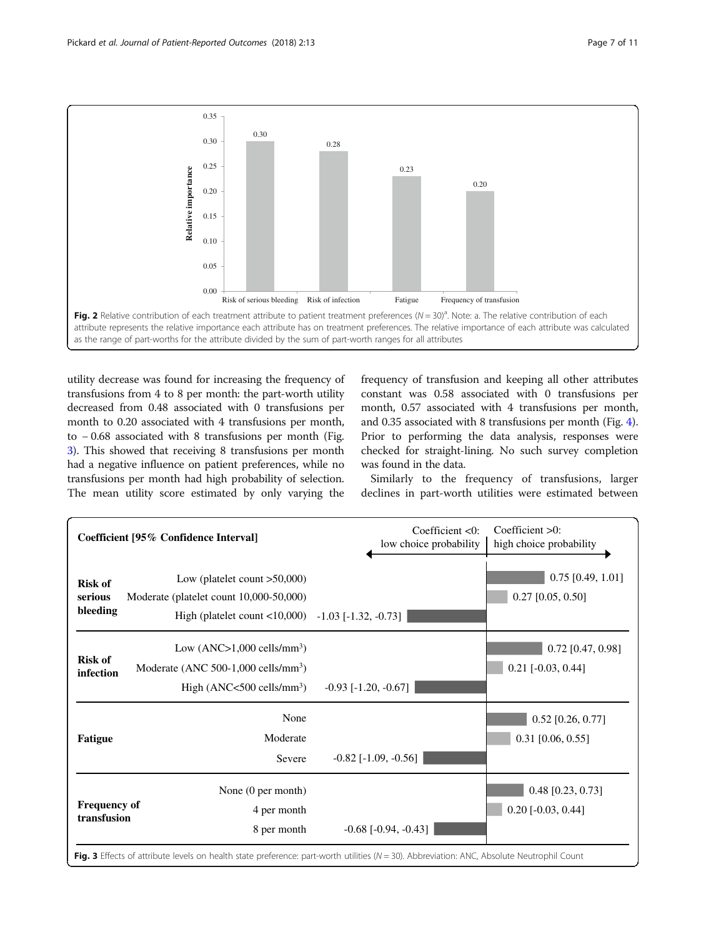<span id="page-6-0"></span>

utility decrease was found for increasing the frequency of transfusions from 4 to 8 per month: the part-worth utility decreased from 0.48 associated with 0 transfusions per month to 0.20 associated with 4 transfusions per month, to − 0.68 associated with 8 transfusions per month (Fig. 3). This showed that receiving 8 transfusions per month had a negative influence on patient preferences, while no transfusions per month had high probability of selection. The mean utility score estimated by only varying the

frequency of transfusion and keeping all other attributes constant was 0.58 associated with 0 transfusions per month, 0.57 associated with 4 transfusions per month, and 0.35 associated with 8 transfusions per month (Fig. [4](#page-7-0)). Prior to performing the data analysis, responses were checked for straight-lining. No such survey completion was found in the data.

Similarly to the frequency of transfusions, larger declines in part-worth utilities were estimated between

| Coefficient [95% Confidence Interval] |                                                                                                                                                  | $Coefficient < 0$ :<br>low choice probability | Coefficient $>0$ :<br>high choice probability      |
|---------------------------------------|--------------------------------------------------------------------------------------------------------------------------------------------------|-----------------------------------------------|----------------------------------------------------|
| <b>Risk of</b><br>serious<br>bleeding | Low (platelet count $>50,000$ )<br>Moderate (platelet count 10,000-50,000)<br>High (platelet count $\langle 10,000 \rangle$ -1.03 [-1.32, -0.73] |                                               | $0.75$ [0.49, 1.01]<br>$0.27$ [0.05, 0.50]         |
| <b>Risk of</b><br>infection           | Low $(ANC>1,000$ cells/mm <sup>3</sup> )<br>Moderate (ANC 500-1,000 cells/mm <sup>3</sup> )<br>High $(ANC<500$ cells/mm <sup>3</sup> )           | $-0.93$ [ $-1.20, -0.67$ ]                    | $0.72$ [0.47, 0.98]<br>$0.21$ [ $-0.03$ , $0.44$ ] |
| <b>Fatigue</b>                        | None<br>Moderate<br>Severe                                                                                                                       | $-0.82$ [ $-1.09, -0.56$ ]                    | $0.52$ [0.26, 0.77]<br>$0.31$ [0.06, 0.55]         |
| <b>Frequency of</b><br>transfusion    | None (0 per month)<br>4 per month<br>8 per month                                                                                                 | $-0.68$ $[-0.94, -0.43]$                      | $0.48$ [0.23, 0.73]<br>$0.20$ [ $-0.03$ , $0.44$ ] |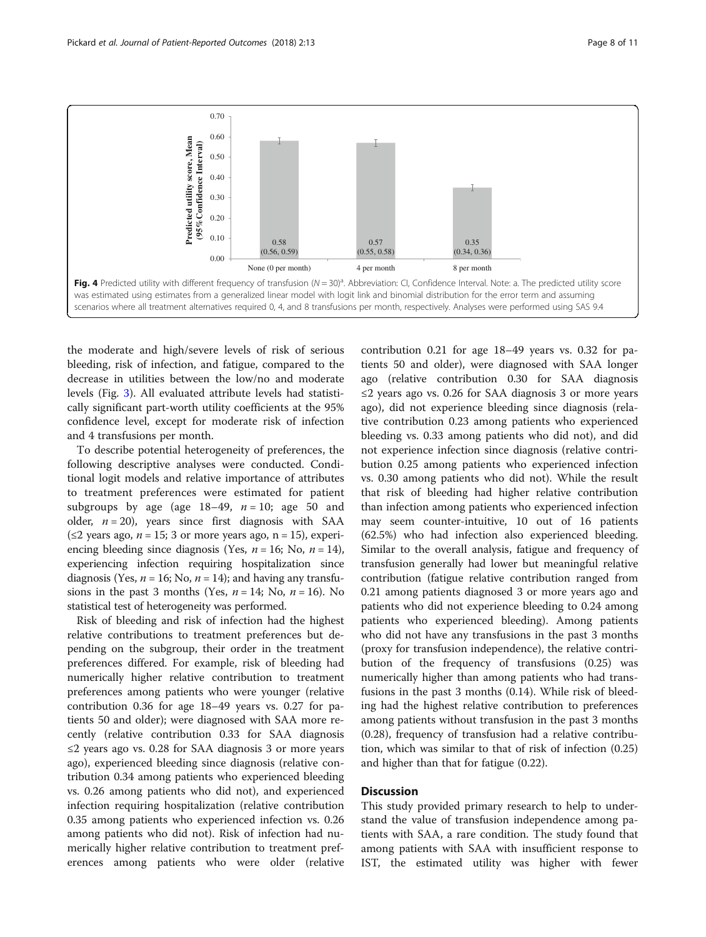<span id="page-7-0"></span>

the moderate and high/severe levels of risk of serious bleeding, risk of infection, and fatigue, compared to the decrease in utilities between the low/no and moderate levels (Fig. [3](#page-6-0)). All evaluated attribute levels had statistically significant part-worth utility coefficients at the 95% confidence level, except for moderate risk of infection and 4 transfusions per month.

To describe potential heterogeneity of preferences, the following descriptive analyses were conducted. Conditional logit models and relative importance of attributes to treatment preferences were estimated for patient subgroups by age (age  $18-49$ ,  $n = 10$ ; age 50 and older,  $n = 20$ , years since first diagnosis with SAA ( $\leq$ 2 years ago,  $n = 15$ ; 3 or more years ago, n = 15), experiencing bleeding since diagnosis (Yes,  $n = 16$ ; No,  $n = 14$ ), experiencing infection requiring hospitalization since diagnosis (Yes,  $n = 16$ ; No,  $n = 14$ ); and having any transfusions in the past 3 months (Yes,  $n = 14$ ; No,  $n = 16$ ). No statistical test of heterogeneity was performed.

Risk of bleeding and risk of infection had the highest relative contributions to treatment preferences but depending on the subgroup, their order in the treatment preferences differed. For example, risk of bleeding had numerically higher relative contribution to treatment preferences among patients who were younger (relative contribution 0.36 for age 18–49 years vs. 0.27 for patients 50 and older); were diagnosed with SAA more recently (relative contribution 0.33 for SAA diagnosis ≤2 years ago vs. 0.28 for SAA diagnosis 3 or more years ago), experienced bleeding since diagnosis (relative contribution 0.34 among patients who experienced bleeding vs. 0.26 among patients who did not), and experienced infection requiring hospitalization (relative contribution 0.35 among patients who experienced infection vs. 0.26 among patients who did not). Risk of infection had numerically higher relative contribution to treatment preferences among patients who were older (relative contribution 0.21 for age 18–49 years vs. 0.32 for patients 50 and older), were diagnosed with SAA longer ago (relative contribution 0.30 for SAA diagnosis ≤2 years ago vs. 0.26 for SAA diagnosis 3 or more years ago), did not experience bleeding since diagnosis (relative contribution 0.23 among patients who experienced bleeding vs. 0.33 among patients who did not), and did not experience infection since diagnosis (relative contribution 0.25 among patients who experienced infection vs. 0.30 among patients who did not). While the result that risk of bleeding had higher relative contribution than infection among patients who experienced infection may seem counter-intuitive, 10 out of 16 patients (62.5%) who had infection also experienced bleeding. Similar to the overall analysis, fatigue and frequency of transfusion generally had lower but meaningful relative contribution (fatigue relative contribution ranged from 0.21 among patients diagnosed 3 or more years ago and patients who did not experience bleeding to 0.24 among patients who experienced bleeding). Among patients who did not have any transfusions in the past 3 months (proxy for transfusion independence), the relative contribution of the frequency of transfusions (0.25) was numerically higher than among patients who had transfusions in the past 3 months (0.14). While risk of bleeding had the highest relative contribution to preferences among patients without transfusion in the past 3 months (0.28), frequency of transfusion had a relative contribution, which was similar to that of risk of infection (0.25) and higher than that for fatigue (0.22).

#### **Discussion**

This study provided primary research to help to understand the value of transfusion independence among patients with SAA, a rare condition. The study found that among patients with SAA with insufficient response to IST, the estimated utility was higher with fewer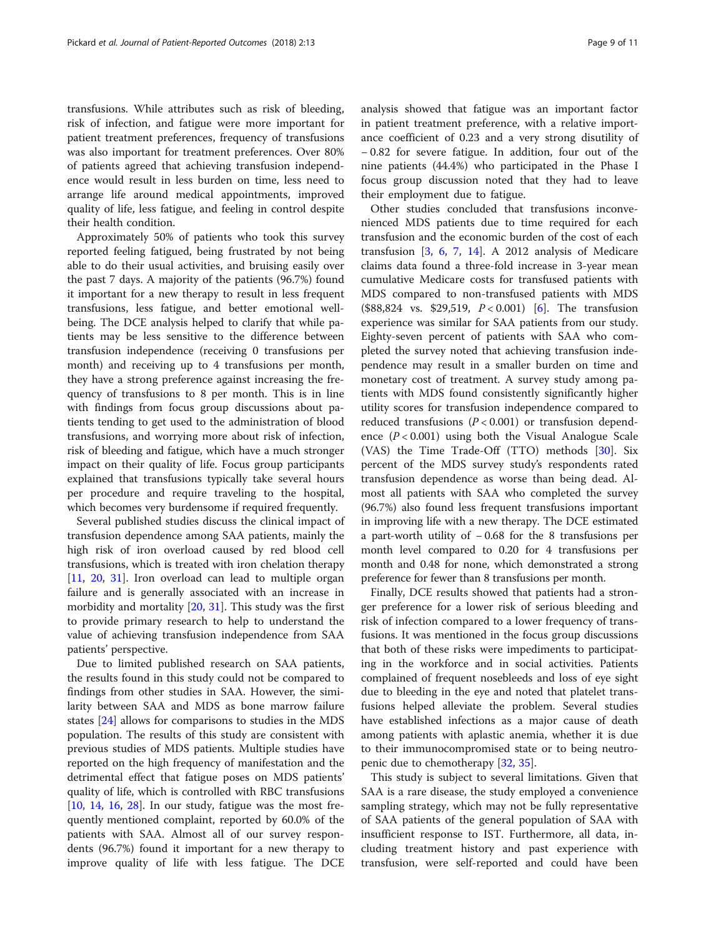transfusions. While attributes such as risk of bleeding, risk of infection, and fatigue were more important for patient treatment preferences, frequency of transfusions was also important for treatment preferences. Over 80% of patients agreed that achieving transfusion independence would result in less burden on time, less need to arrange life around medical appointments, improved quality of life, less fatigue, and feeling in control despite their health condition.

Approximately 50% of patients who took this survey reported feeling fatigued, being frustrated by not being able to do their usual activities, and bruising easily over the past 7 days. A majority of the patients (96.7%) found it important for a new therapy to result in less frequent transfusions, less fatigue, and better emotional wellbeing. The DCE analysis helped to clarify that while patients may be less sensitive to the difference between transfusion independence (receiving 0 transfusions per month) and receiving up to 4 transfusions per month, they have a strong preference against increasing the frequency of transfusions to 8 per month. This is in line with findings from focus group discussions about patients tending to get used to the administration of blood transfusions, and worrying more about risk of infection, risk of bleeding and fatigue, which have a much stronger impact on their quality of life. Focus group participants explained that transfusions typically take several hours per procedure and require traveling to the hospital, which becomes very burdensome if required frequently.

Several published studies discuss the clinical impact of transfusion dependence among SAA patients, mainly the high risk of iron overload caused by red blood cell transfusions, which is treated with iron chelation therapy [[11,](#page-9-0) [20](#page-10-0), [31](#page-10-0)]. Iron overload can lead to multiple organ failure and is generally associated with an increase in morbidity and mortality [\[20,](#page-10-0) [31](#page-10-0)]. This study was the first to provide primary research to help to understand the value of achieving transfusion independence from SAA patients' perspective.

Due to limited published research on SAA patients, the results found in this study could not be compared to findings from other studies in SAA. However, the similarity between SAA and MDS as bone marrow failure states [[24](#page-10-0)] allows for comparisons to studies in the MDS population. The results of this study are consistent with previous studies of MDS patients. Multiple studies have reported on the high frequency of manifestation and the detrimental effect that fatigue poses on MDS patients' quality of life, which is controlled with RBC transfusions [[10,](#page-9-0) [14](#page-9-0), [16](#page-10-0), [28](#page-10-0)]. In our study, fatigue was the most frequently mentioned complaint, reported by 60.0% of the patients with SAA. Almost all of our survey respondents (96.7%) found it important for a new therapy to improve quality of life with less fatigue. The DCE analysis showed that fatigue was an important factor in patient treatment preference, with a relative importance coefficient of 0.23 and a very strong disutility of − 0.82 for severe fatigue. In addition, four out of the nine patients (44.4%) who participated in the Phase I focus group discussion noted that they had to leave their employment due to fatigue.

Other studies concluded that transfusions inconvenienced MDS patients due to time required for each transfusion and the economic burden of the cost of each transfusion  $[3, 6, 7, 14]$  $[3, 6, 7, 14]$  $[3, 6, 7, 14]$  $[3, 6, 7, 14]$  $[3, 6, 7, 14]$  $[3, 6, 7, 14]$  $[3, 6, 7, 14]$  $[3, 6, 7, 14]$ . A 2012 analysis of Medicare claims data found a three-fold increase in 3-year mean cumulative Medicare costs for transfused patients with MDS compared to non-transfused patients with MDS  $($88,824 \text{ vs. } $29,519, P < 0.001)$  [\[6](#page-9-0)]. The transfusion experience was similar for SAA patients from our study. Eighty-seven percent of patients with SAA who completed the survey noted that achieving transfusion independence may result in a smaller burden on time and monetary cost of treatment. A survey study among patients with MDS found consistently significantly higher utility scores for transfusion independence compared to reduced transfusions ( $P < 0.001$ ) or transfusion dependence  $(P < 0.001)$  using both the Visual Analogue Scale (VAS) the Time Trade-Off (TTO) methods [\[30\]](#page-10-0). Six percent of the MDS survey study's respondents rated transfusion dependence as worse than being dead. Almost all patients with SAA who completed the survey (96.7%) also found less frequent transfusions important in improving life with a new therapy. The DCE estimated a part-worth utility of − 0.68 for the 8 transfusions per month level compared to 0.20 for 4 transfusions per month and 0.48 for none, which demonstrated a strong preference for fewer than 8 transfusions per month.

Finally, DCE results showed that patients had a stronger preference for a lower risk of serious bleeding and risk of infection compared to a lower frequency of transfusions. It was mentioned in the focus group discussions that both of these risks were impediments to participating in the workforce and in social activities. Patients complained of frequent nosebleeds and loss of eye sight due to bleeding in the eye and noted that platelet transfusions helped alleviate the problem. Several studies have established infections as a major cause of death among patients with aplastic anemia, whether it is due to their immunocompromised state or to being neutropenic due to chemotherapy [[32,](#page-10-0) [35\]](#page-10-0).

This study is subject to several limitations. Given that SAA is a rare disease, the study employed a convenience sampling strategy, which may not be fully representative of SAA patients of the general population of SAA with insufficient response to IST. Furthermore, all data, including treatment history and past experience with transfusion, were self-reported and could have been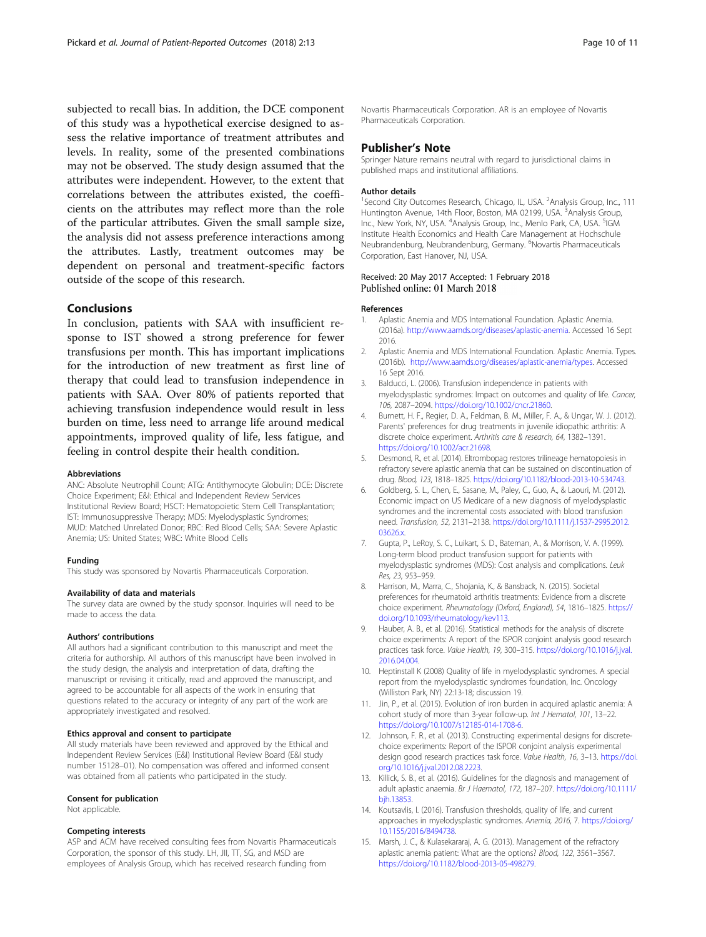<span id="page-9-0"></span>subjected to recall bias. In addition, the DCE component of this study was a hypothetical exercise designed to assess the relative importance of treatment attributes and levels. In reality, some of the presented combinations may not be observed. The study design assumed that the attributes were independent. However, to the extent that correlations between the attributes existed, the coefficients on the attributes may reflect more than the role of the particular attributes. Given the small sample size, the analysis did not assess preference interactions among the attributes. Lastly, treatment outcomes may be dependent on personal and treatment-specific factors outside of the scope of this research.

#### Conclusions

In conclusion, patients with SAA with insufficient response to IST showed a strong preference for fewer transfusions per month. This has important implications for the introduction of new treatment as first line of therapy that could lead to transfusion independence in patients with SAA. Over 80% of patients reported that achieving transfusion independence would result in less burden on time, less need to arrange life around medical appointments, improved quality of life, less fatigue, and feeling in control despite their health condition.

#### Abbreviations

ANC: Absolute Neutrophil Count; ATG: Antithymocyte Globulin; DCE: Discrete Choice Experiment; E&I: Ethical and Independent Review Services Institutional Review Board; HSCT: Hematopoietic Stem Cell Transplantation; IST: Immunosuppressive Therapy; MDS: Myelodysplastic Syndromes; MUD: Matched Unrelated Donor; RBC: Red Blood Cells; SAA: Severe Aplastic Anemia; US: United States; WBC: White Blood Cells

#### Funding

This study was sponsored by Novartis Pharmaceuticals Corporation.

#### Availability of data and materials

The survey data are owned by the study sponsor. Inquiries will need to be made to access the data.

#### Authors' contributions

All authors had a significant contribution to this manuscript and meet the criteria for authorship. All authors of this manuscript have been involved in the study design, the analysis and interpretation of data, drafting the manuscript or revising it critically, read and approved the manuscript, and agreed to be accountable for all aspects of the work in ensuring that questions related to the accuracy or integrity of any part of the work are appropriately investigated and resolved.

#### Ethics approval and consent to participate

All study materials have been reviewed and approved by the Ethical and Independent Review Services (E&I) Institutional Review Board (E&I study number 15128–01). No compensation was offered and informed consent was obtained from all patients who participated in the study.

#### Consent for publication

Not applicable.

#### Competing interests

ASP and ACM have received consulting fees from Novartis Pharmaceuticals Corporation, the sponsor of this study. LH, JII, TT, SG, and MSD are employees of Analysis Group, which has received research funding from

Novartis Pharmaceuticals Corporation. AR is an employee of Novartis Pharmaceuticals Corporation.

#### Publisher's Note

Springer Nature remains neutral with regard to jurisdictional claims in published maps and institutional affiliations.

#### Author details

<sup>1</sup>Second City Outcomes Research, Chicago, IL, USA. <sup>2</sup>Analysis Group, Inc., 111 Huntington Avenue, 14th Floor, Boston, MA 02199, USA. <sup>3</sup>Analysis Group Inc., New York, NY, USA. <sup>4</sup>Analysis Group, Inc., Menlo Park, CA, USA. <sup>5</sup>IGM Institute Health Economics and Health Care Management at Hochschule Neubrandenburg, Neubrandenburg, Germany. <sup>6</sup>Novartis Pharmaceuticals Corporation, East Hanover, NJ, USA.

#### Received: 20 May 2017 Accepted: 1 February 2018 Published online: 01 March 2018

#### References

- 1. Aplastic Anemia and MDS International Foundation. Aplastic Anemia. (2016a). [http://www.aamds.org/diseases/aplastic-anemia.](http://www.aamds.org/diseases/aplastic-anemia) Accessed 16 Sept 2016.
- 2. Aplastic Anemia and MDS International Foundation. Aplastic Anemia. Types. (2016b). <http://www.aamds.org/diseases/aplastic-anemia/types>. Accessed 16 Sept 2016.
- 3. Balducci, L. (2006). Transfusion independence in patients with myelodysplastic syndromes: Impact on outcomes and quality of life. Cancer, 106, 2087–2094. [https://doi.org/10.1002/cncr.21860.](https://doi.org/10.1002/cncr.21860)
- 4. Burnett, H. F., Regier, D. A., Feldman, B. M., Miller, F. A., & Ungar, W. J. (2012). Parents' preferences for drug treatments in juvenile idiopathic arthritis: A discrete choice experiment. Arthritis care & research, 64, 1382–1391. [https://doi.org/10.1002/acr.21698.](https://doi.org/10.1002/acr.21698)
- 5. Desmond, R., et al. (2014). Eltrombopag restores trilineage hematopoiesis in refractory severe aplastic anemia that can be sustained on discontinuation of drug. Blood, 123, 1818–1825. [https://doi.org/10.1182/blood-2013-10-534743.](https://doi.org/10.1182/blood-2013-10-534743)
- 6. Goldberg, S. L., Chen, E., Sasane, M., Paley, C., Guo, A., & Laouri, M. (2012). Economic impact on US Medicare of a new diagnosis of myelodysplastic syndromes and the incremental costs associated with blood transfusion need. Transfusion, 52, 2131–2138. [https://doi.org/10.1111/j.1537-2995.2012.](https://doi.org/10.1111/j.1537-2995.2012.03626.x) [03626.x](https://doi.org/10.1111/j.1537-2995.2012.03626.x).
- Gupta, P., LeRoy, S. C., Luikart, S. D., Bateman, A., & Morrison, V. A. (1999). Long-term blood product transfusion support for patients with myelodysplastic syndromes (MDS): Cost analysis and complications. Leuk Res, 23, 953–959.
- 8. Harrison, M., Marra, C., Shojania, K., & Bansback, N. (2015). Societal preferences for rheumatoid arthritis treatments: Evidence from a discrete choice experiment. Rheumatology (Oxford, England), 54, 1816–1825. [https://](https://doi.org/10.1093/rheumatology/kev113) [doi.org/10.1093/rheumatology/kev113.](https://doi.org/10.1093/rheumatology/kev113)
- 9. Hauber, A. B., et al. (2016). Statistical methods for the analysis of discrete choice experiments: A report of the ISPOR conjoint analysis good research practices task force. Value Health, 19, 300–315. [https://doi.org/10.1016/j.jval.](https://doi.org/10.1016/j.jval.2016.04.004) [2016.04.004.](https://doi.org/10.1016/j.jval.2016.04.004)
- 10. Heptinstall K (2008) Quality of life in myelodysplastic syndromes. A special report from the myelodysplastic syndromes foundation, Inc. Oncology (Williston Park, NY) 22:13-18; discussion 19.
- 11. Jin, P., et al. (2015). Evolution of iron burden in acquired aplastic anemia: A cohort study of more than 3-year follow-up. Int J Hematol, 101, 13–22. <https://doi.org/10.1007/s12185-014-1708-6>.
- 12. Johnson, F. R., et al. (2013). Constructing experimental designs for discretechoice experiments: Report of the ISPOR conjoint analysis experimental design good research practices task force. Value Health, 16, 3–13. [https://doi.](https://doi.org/10.1016/j.jval.2012.08.2223) [org/10.1016/j.jval.2012.08.2223.](https://doi.org/10.1016/j.jval.2012.08.2223)
- 13. Killick, S. B., et al. (2016). Guidelines for the diagnosis and management of adult aplastic anaemia. Br J Haematol, 172, 187–207. [https://doi.org/10.1111/](https://doi.org/10.1111/bjh.13853) [bjh.13853](https://doi.org/10.1111/bjh.13853).
- 14. Koutsavlis, I. (2016). Transfusion thresholds, quality of life, and current approaches in myelodysplastic syndromes. Anemia, 2016, 7. [https://doi.org/](https://doi.org/10.1155/2016/8494738) [10.1155/2016/8494738.](https://doi.org/10.1155/2016/8494738)
- 15. Marsh, J. C., & Kulasekararaj, A. G. (2013). Management of the refractory aplastic anemia patient: What are the options? Blood, 122, 3561–3567. [https://doi.org/10.1182/blood-2013-05-498279.](https://doi.org/10.1182/blood-2013-05-498279)